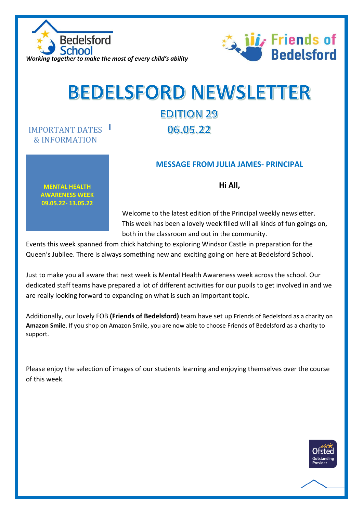



## **BEDELSFORD NEWSLETTER**

## **EDITION 29** 06.05.22

## **MESSAGE FROM JULIA JAMES- PRINCIPAL**

**MENTAL HEALTH AWARENESS WEEK 09.05.22- 13.05.22**

IMPORTANT DATES & INFORMATION

**Hi All,** 

Welcome to the latest edition of the Principal weekly newsletter. This week has been a lovely week filled will all kinds of fun goings on, both in the classroom and out in the community.

Events this week spanned from chick hatching to exploring Windsor Castle in preparation for the Queen's Jubilee. There is always something new and exciting going on here at Bedelsford School.

Just to make you all aware that next week is Mental Health Awareness week across the school. Our dedicated staff teams have prepared a lot of different activities for our pupils to get involved in and we are really looking forward to expanding on what is such an important topic.

Additionally, our lovely FOB **(Friends of Bedelsford)** team have set up Friends of Bedelsford as a charity on **Amazon Smile**. If you shop on Amazon Smile, you are now able to choose Friends of Bedelsford as a charity to support.

Please enjoy the selection of images of our students learning and enjoying themselves over the course of this week.

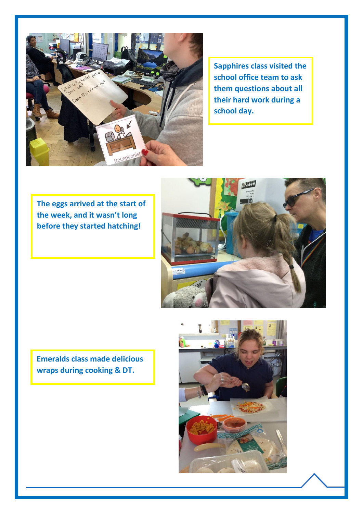

**Sapphires class visited the school office team to ask them questions about all their hard work during a school day.**

**The eggs arrived at the start of the week, and it wasn't long before they started hatching!**



**Emeralds class made delicious wraps during cooking & DT.**